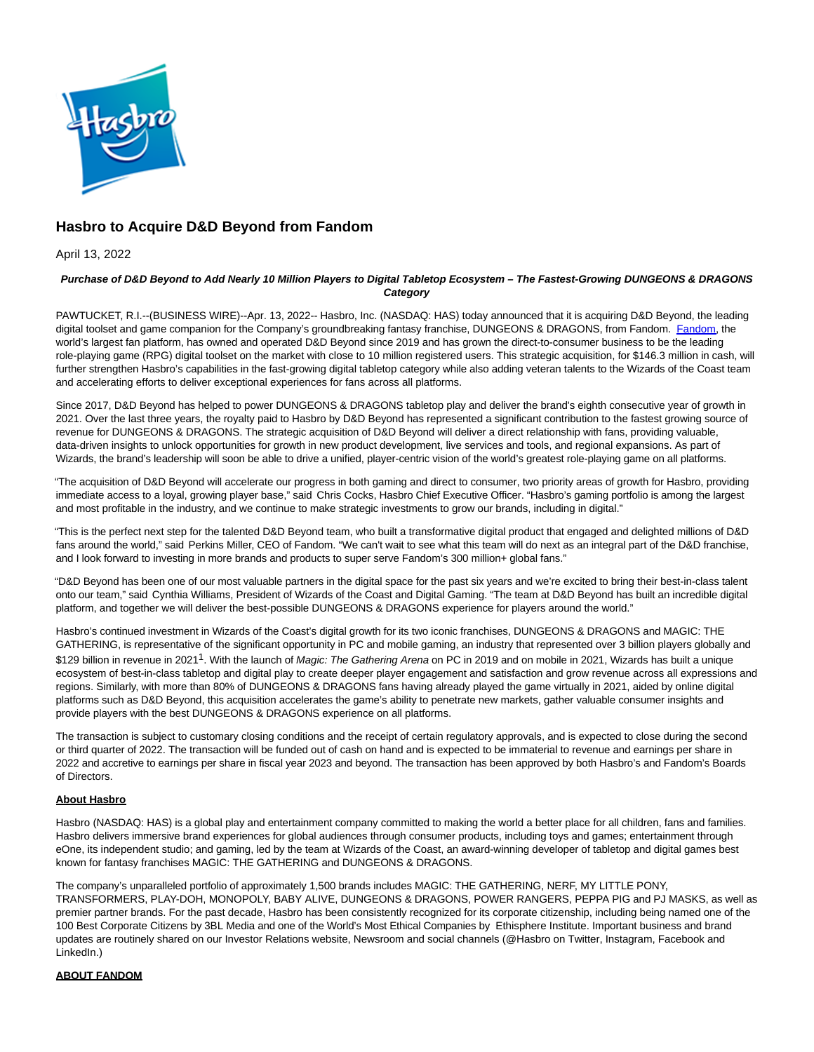

# **Hasbro to Acquire D&D Beyond from Fandom**

April 13, 2022

### **Purchase of D&D Beyond to Add Nearly 10 Million Players to Digital Tabletop Ecosystem – The Fastest-Growing DUNGEONS & DRAGONS Category**

PAWTUCKET, R.I.--(BUSINESS WIRE)--Apr. 13, 2022-- Hasbro, Inc. (NASDAQ: HAS) today announced that it is acquiring D&D Beyond, the leading digital toolset and game companion for the Company's groundbreaking fantasy franchise, DUNGEONS & DRAGONS, from Fandom. [Fandom,](https://cts.businesswire.com/ct/CT?id=smartlink&url=https%3A%2F%2Fwww.fandom.com%2F&esheet=52684680&newsitemid=20220412006151&lan=en-US&anchor=Fandom&index=1&md5=7f7cffaee66f521b10dc4881d15dbe4b) the world's largest fan platform, has owned and operated D&D Beyond since 2019 and has grown the direct-to-consumer business to be the leading role-playing game (RPG) digital toolset on the market with close to 10 million registered users. This strategic acquisition, for \$146.3 million in cash, will further strengthen Hasbro's capabilities in the fast-growing digital tabletop category while also adding veteran talents to the Wizards of the Coast team and accelerating efforts to deliver exceptional experiences for fans across all platforms.

Since 2017, D&D Beyond has helped to power DUNGEONS & DRAGONS tabletop play and deliver the brand's eighth consecutive year of growth in 2021. Over the last three years, the royalty paid to Hasbro by D&D Beyond has represented a significant contribution to the fastest growing source of revenue for DUNGEONS & DRAGONS. The strategic acquisition of D&D Beyond will deliver a direct relationship with fans, providing valuable, data-driven insights to unlock opportunities for growth in new product development, live services and tools, and regional expansions. As part of Wizards, the brand's leadership will soon be able to drive a unified, player-centric vision of the world's greatest role-playing game on all platforms.

"The acquisition of D&D Beyond will accelerate our progress in both gaming and direct to consumer, two priority areas of growth for Hasbro, providing immediate access to a loyal, growing player base," said Chris Cocks, Hasbro Chief Executive Officer. "Hasbro's gaming portfolio is among the largest and most profitable in the industry, and we continue to make strategic investments to grow our brands, including in digital."

"This is the perfect next step for the talented D&D Beyond team, who built a transformative digital product that engaged and delighted millions of D&D fans around the world," said Perkins Miller, CEO of Fandom. "We can't wait to see what this team will do next as an integral part of the D&D franchise, and I look forward to investing in more brands and products to super serve Fandom's 300 million+ global fans."

"D&D Beyond has been one of our most valuable partners in the digital space for the past six years and we're excited to bring their best-in-class talent onto our team," said Cynthia Williams, President of Wizards of the Coast and Digital Gaming. "The team at D&D Beyond has built an incredible digital platform, and together we will deliver the best-possible DUNGEONS & DRAGONS experience for players around the world."

Hasbro's continued investment in Wizards of the Coast's digital growth for its two iconic franchises, DUNGEONS & DRAGONS and MAGIC: THE GATHERING, is representative of the significant opportunity in PC and mobile gaming, an industry that represented over 3 billion players globally and \$129 billion in revenue in 2021<sup>1</sup>. With the launch of Magic: The Gathering Arena on PC in 2019 and on mobile in 2021, Wizards has built a unique ecosystem of best-in-class tabletop and digital play to create deeper player engagement and satisfaction and grow revenue across all expressions and regions. Similarly, with more than 80% of DUNGEONS & DRAGONS fans having already played the game virtually in 2021, aided by online digital platforms such as D&D Beyond, this acquisition accelerates the game's ability to penetrate new markets, gather valuable consumer insights and provide players with the best DUNGEONS & DRAGONS experience on all platforms.

The transaction is subject to customary closing conditions and the receipt of certain regulatory approvals, and is expected to close during the second or third quarter of 2022. The transaction will be funded out of cash on hand and is expected to be immaterial to revenue and earnings per share in 2022 and accretive to earnings per share in fiscal year 2023 and beyond. The transaction has been approved by both Hasbro's and Fandom's Boards of Directors.

## **About Hasbro**

Hasbro (NASDAQ: HAS) is a global play and entertainment company committed to making the world a better place for all children, fans and families. Hasbro delivers immersive brand experiences for global audiences through consumer products, including toys and games; entertainment through eOne, its independent studio; and gaming, led by the team at Wizards of the Coast, an award-winning developer of tabletop and digital games best known for fantasy franchises MAGIC: THE GATHERING and DUNGEONS & DRAGONS.

The company's unparalleled portfolio of approximately 1,500 brands includes MAGIC: THE GATHERING, NERF, MY LITTLE PONY, TRANSFORMERS, PLAY-DOH, MONOPOLY, BABY ALIVE, DUNGEONS & DRAGONS, POWER RANGERS, PEPPA PIG and PJ MASKS, as well as premier partner brands. For the past decade, Hasbro has been consistently recognized for its corporate citizenship, including being named one of the 100 Best Corporate Citizens by 3BL Media and one of the World's Most Ethical Companies by Ethisphere Institute. Important business and brand updates are routinely shared on our Investor Relations website, Newsroom and social channels (@Hasbro on Twitter, Instagram, Facebook and LinkedIn.)

## **ABOUT FANDOM**